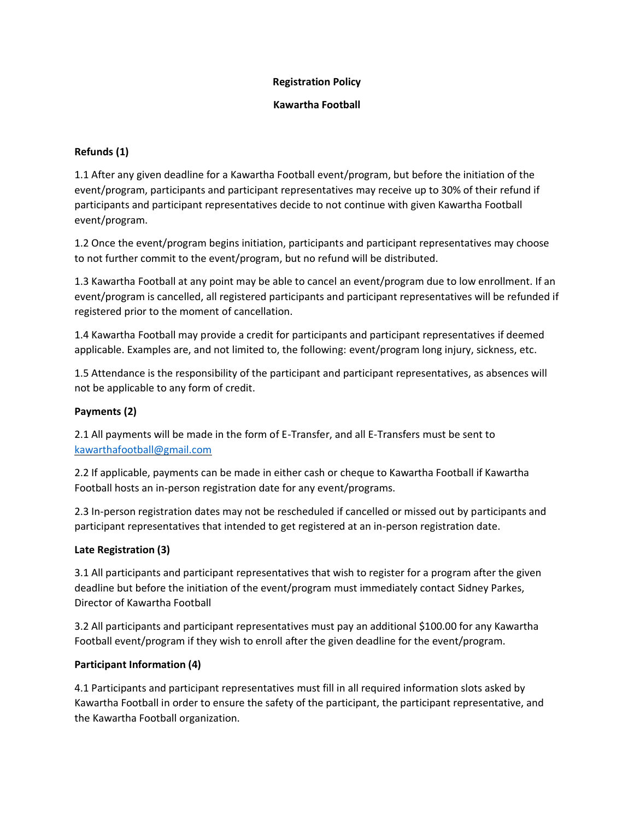### **Registration Policy**

#### **Kawartha Football**

# **Refunds (1)**

1.1 After any given deadline for a Kawartha Football event/program, but before the initiation of the event/program, participants and participant representatives may receive up to 30% of their refund if participants and participant representatives decide to not continue with given Kawartha Football event/program.

1.2 Once the event/program begins initiation, participants and participant representatives may choose to not further commit to the event/program, but no refund will be distributed.

1.3 Kawartha Football at any point may be able to cancel an event/program due to low enrollment. If an event/program is cancelled, all registered participants and participant representatives will be refunded if registered prior to the moment of cancellation.

1.4 Kawartha Football may provide a credit for participants and participant representatives if deemed applicable. Examples are, and not limited to, the following: event/program long injury, sickness, etc.

1.5 Attendance is the responsibility of the participant and participant representatives, as absences will not be applicable to any form of credit.

## **Payments (2)**

2.1 All payments will be made in the form of E-Transfer, and all E-Transfers must be sent to [kawarthafootball@gmail.com](mailto:kawarthafootball@gmail.com)

2.2 If applicable, payments can be made in either cash or cheque to Kawartha Football if Kawartha Football hosts an in-person registration date for any event/programs.

2.3 In-person registration dates may not be rescheduled if cancelled or missed out by participants and participant representatives that intended to get registered at an in-person registration date.

# **Late Registration (3)**

3.1 All participants and participant representatives that wish to register for a program after the given deadline but before the initiation of the event/program must immediately contact Sidney Parkes, Director of Kawartha Football

3.2 All participants and participant representatives must pay an additional \$100.00 for any Kawartha Football event/program if they wish to enroll after the given deadline for the event/program.

# **Participant Information (4)**

4.1 Participants and participant representatives must fill in all required information slots asked by Kawartha Football in order to ensure the safety of the participant, the participant representative, and the Kawartha Football organization.